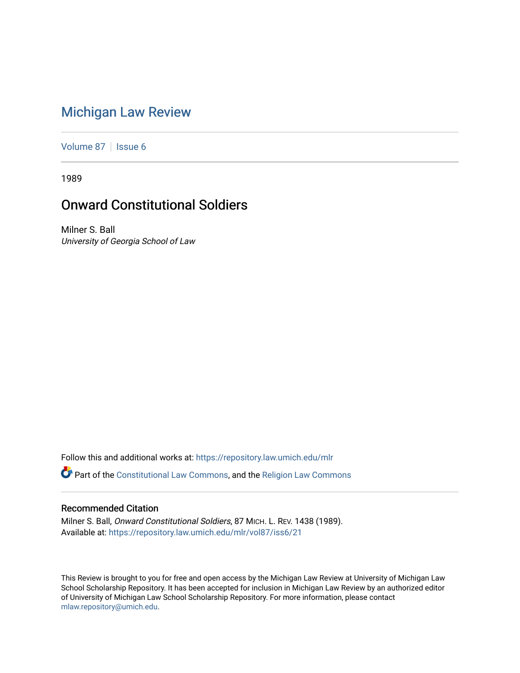# [Michigan Law Review](https://repository.law.umich.edu/mlr)

[Volume 87](https://repository.law.umich.edu/mlr/vol87) | [Issue 6](https://repository.law.umich.edu/mlr/vol87/iss6)

1989

# Onward Constitutional Soldiers

Milner S. Ball University of Georgia School of Law

Follow this and additional works at: [https://repository.law.umich.edu/mlr](https://repository.law.umich.edu/mlr?utm_source=repository.law.umich.edu%2Fmlr%2Fvol87%2Fiss6%2F21&utm_medium=PDF&utm_campaign=PDFCoverPages) 

Part of the [Constitutional Law Commons,](http://network.bepress.com/hgg/discipline/589?utm_source=repository.law.umich.edu%2Fmlr%2Fvol87%2Fiss6%2F21&utm_medium=PDF&utm_campaign=PDFCoverPages) and the [Religion Law Commons](http://network.bepress.com/hgg/discipline/872?utm_source=repository.law.umich.edu%2Fmlr%2Fvol87%2Fiss6%2F21&utm_medium=PDF&utm_campaign=PDFCoverPages) 

# Recommended Citation

Milner S. Ball, Onward Constitutional Soldiers, 87 MICH. L. REV. 1438 (1989). Available at: [https://repository.law.umich.edu/mlr/vol87/iss6/21](https://repository.law.umich.edu/mlr/vol87/iss6/21?utm_source=repository.law.umich.edu%2Fmlr%2Fvol87%2Fiss6%2F21&utm_medium=PDF&utm_campaign=PDFCoverPages) 

This Review is brought to you for free and open access by the Michigan Law Review at University of Michigan Law School Scholarship Repository. It has been accepted for inclusion in Michigan Law Review by an authorized editor of University of Michigan Law School Scholarship Repository. For more information, please contact [mlaw.repository@umich.edu.](mailto:mlaw.repository@umich.edu)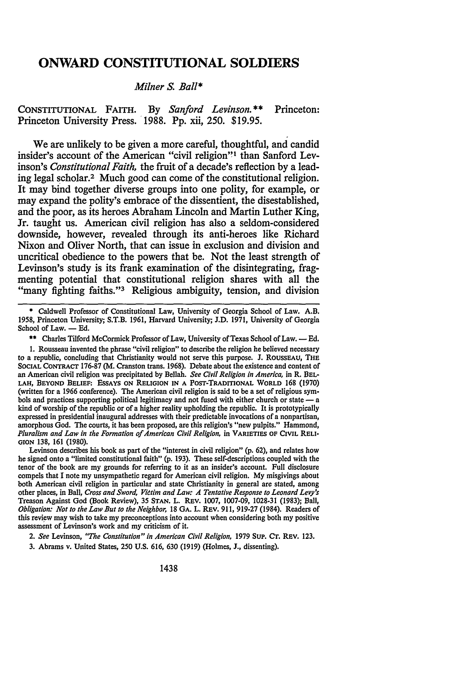# **ONWARD CONSTITUTIONAL SOLDIERS**

### *Milner S. Ball\**

CONSTITUTIONAL FAITH. By *Sanford Levinson.\*\** Princeton: Princeton University Press. 1988. Pp. xii, 250. \$19.95.

We are unlikely to be given a more careful, thoughtful, and candid insider's account of the American "civil religion"<sup>1</sup> than Sanford Levinson's *Constitutional Faith,* the fruit of a decade's reflection by a leading legal scholar.2 Much good can come of the constitutional religion. It may bind together diverse groups into one polity, for example, or may expand the polity's embrace of the dissentient, the disestablished, and the poor, as its heroes Abraham Lincoln and Martin Luther King, Jr. taught us. American civil religion has also a seldom-considered downside, however, revealed through its anti-heroes like Richard Nixon and Oliver North, that can issue in exclusion and division and uncritical obedience to the powers that be. Not the least strength of Levinson's study is its frank examination of the disintegrating, fragmenting potential that constitutional religion shares with all the "many fighting faiths."<sup>3</sup> Religious ambiguity, tension, and division

• Caldwell Professor of Constitutional Law, University of Georgia School of Law. A.B. 1958, Princeton University; S.T.B. 1961, Harvard University; J.D. 1971, University of Georgia School of Law. - Ed.

\*\* Charles Tilford McCormick Professor of Law, University of Texas School of Law. - Ed.

1. Rousseau invented the phrase "civil religion" to describe the religion he believed necessary to a republic, concluding that Christianity would not serve this purpose. J. ROUSSEAU, THE SOCIAL CONTRACT 176-87 (M. Cranston trans. 1968). Debate about the existence and content of an American civil religion was precipitated by Bellah. *See Civil Religion in America,* in R. BEL-LAH, BEYOND BELIEF: ESSAYS ON RELIGION IN A POST-TRADITIONAL WORLD 168 (1970) (written for a 1966 conference). The American civil religion is said to be a set of religious symbols and practices supporting political legitimacy and not fused with either church or state  $-$  a kind of worship of the republic or of a higher reality upholding the republic. It is prototypically expressed in presidential inaugural addresses with their predictable invocations of a nonpartisan, amorphous God. The courts, it has been proposed, are this religion's "new pulpits." Hammond, *Pluralism and Law in the Formation of American Civil Religion,* in VARIETIES OF CIVIL RELI-GION 138, 161 (1980).

Levinson describes his book as part of the "interest in civil religion" (p. 62), and relates how he signed onto a "limited constitutional faith" (p. 193). These self-descriptions coupled with the tenor of the book are my grounds for referring to it as an insider's account. Full disclosure compels that I note my unsympathetic regard for American civil religion. My misgivings about both American civil religion in particular and state Christianity in general are stated, among other places, in Ball, *Cross and Sword, Victim and Law: A Tentative Response to Leonard Levy's* Treason Against God (Book Review), 35 STAN. L. REv. 1007, 1007-09, 1028-31 (1983); Ball, *Obligation: Not to the Law But to the Neighbor,* 18 GA. L. REv. 911, 919-27 (1984). Readers of this review may wish to take my preconceptions into account when considering both my positive assessment of Levinson's work and my criticism of it.

2. *See* Levinson, *"The Constitution" in American Civil Religion,* 1979 SUP. CT. REV. 123.

3. Abrams v. United States, 250 U.S. 616, 630 (1919) (Holmes, J., dissenting).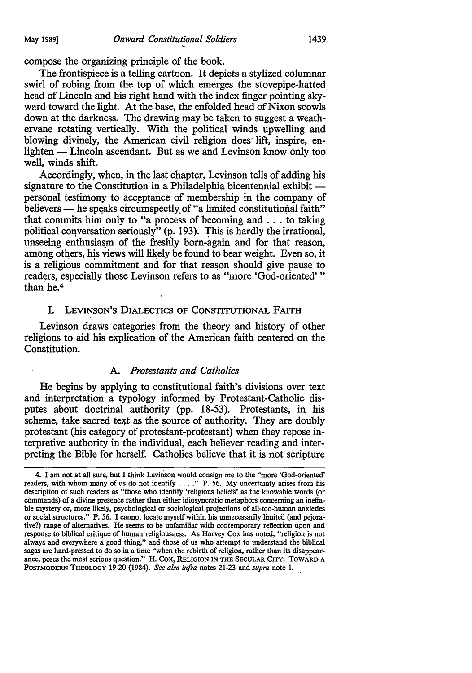compose the organizing principle of the book.

The frontispiece is a telling cartoon. It depicts a stylized columnar swirl of robing from the top of which emerges the stovepipe-hatted head of Lincoln and his right hand with the index finger pointing skyward toward the light. At the base, the enfolded head of Nixon scowls down at the darkness. The drawing may be taken to suggest a weathervane rotating vertically. With the political winds upwelling and blowing divinely, the American civil religion does lift, inspire, enlighten — Lincoln ascendant. But as we and Levinson know only too well, winds shift.

Accordingly, when, in the last chapter, Levinson tells of adding his signature to the Constitution in a Philadelphia bicentennial exhibit  $$ personal testimony to acceptance of membership in the company of believers - he speaks circumspectly of "a limited constitutional faith" that commits him only to "a process of becoming and . . . to taking political conversation seriously" (p. 193). This is hardly the irrational, unseeing enthusiasm of the freshly born-again and for that reason, among others, his views will likely be found to bear weight. Even so, it is a religious commitment and for that reason should give pause to readers, especially those Levinson refers to as "more 'God-oriented' " than he.4

#### I. LEVINSON'S DIALECTICS OF CONSTITUTIONAL FAITH

Levinson draws categories from the theory and history of other religions to aid his explication of the American faith centered on the Constitution.

#### A. *Protestants and Catholics*

He begins by applying to constitutional faith's divisions over text and interpretation a typology informed by Protestant-Catholic disputes about doctrinal authority (pp. 18-53). Protestants, in his scheme, take sacred text as the source of authority. They are doubly protestant (his category of protestant-protestant) when they repose interpretive authority in the individual, each believer reading and interpreting the Bible for herself. Catholics believe that it is not scripture

<sup>4.</sup> I am not at all sure, but I think Levinson would consign me to the "more 'God-oriented' readers, with whom many of us do not identify .... " P. 56. My uncertainty arises from his description of such readers as "those who identify 'religious beliefs' as the knowable words (or commands) of a divine presence rather than either idiosyncratic metaphors concerning an ineffable mystery or, more likely, psychological or sociological projections of all-too-human anxieties or social structures." P. 56. I cannot locate myself within his unnecessarily limited (and pejorative?) range of alternatives. He seems to be unfamiliar with contemporary reflection upon and response to biblical critique of human religiousness. As Harvey Cox has noted, "religion is not always and everywhere a good thing," and those of us who attempt to understand the biblical sagas are hard-pressed to do so in a time "when the rebirth of religion, rather than its disappearance, poses the most serious question." H. Cox, RELIGION IN THE SECULAR CITY: Tow ARD A POSTMODERN THEOLOGY 19-20 (1984). *See also infra* notes 21-23 and *supra* note 1.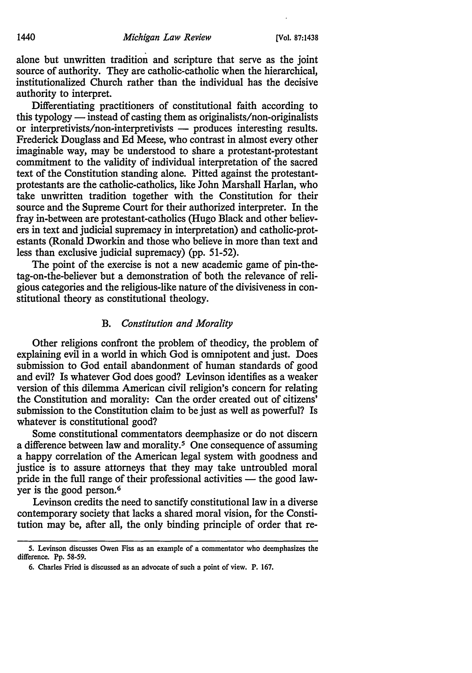alone but unwritten tradition and scripture that serve as the joint source of authority. They are catholic-catholic when the hierarchical, institutionalized Church rather than the individual has the decisive authority to interpret.

Differentiating practitioners of constitutional faith according to this typology - instead of casting them as originalists/non-originalists or interpretivists/non-interpretivists - produces interesting results. Frederick Douglass and Ed Meese, who contrast in almost every other imaginable way, may be understood to share a protestant-protestant commitment to the validity of individual interpretation of the sacred text of the Constitution standing alone. Pitted against the protestantprotestants are the catholic-catholics, like John Marshall Harlan, who take unwritten tradition together with the Constitution for their source and the Supreme Court for their authorized interpreter. In the fray in-between are protestant-catholics (Hugo Black and other believers in text and judicial supremacy in interpretation) and catholic-protestants (Ronald Dworkin and those who believe in more than text and less than exclusive judicial supremacy) (pp. 51-52).

The point of the exercise is not a new academic game of pin-thetag-on-the-believer but a demonstration of both the relevance of religious categories and the religious-like nature of the divisiveness in constitutional theory as constitutional theology.

#### B. *Constitution and Morality*

Other religions confront the problem of theodicy, the problem of explaining evil in a world in which God is omnipotent and just. Does submission to God entail abandonment of human standards of good and evil? Is whatever God does good? Levinson identifies as a weaker version of this dilemma American civil religion's concern for relating the Constitution and morality: Can the order created out of citizens' submission to the Constitution claim to be just as well as powerful? Is whatever is constitutional good?

Some constitutional commentators deemphasize or do not discern a difference between law and morality.<sup>5</sup> One consequence of assuming a happy correlation of the American legal system with goodness and justice is to assure attorneys that they may take untroubled moral pride in the full range of their professional activities  $-$  the good lawyer is the good person. <sup>6</sup>

Levinson credits the need to sanctify constitutional law in a diverse contemporary society that lacks a shared moral vision, for the Constitution may be, after all, the only binding principle of order that re-

<sup>5.</sup> Levinson discusses Owen Fiss as an example of a commentator who deemphasizes the difference. Pp. 58-59.

<sup>6.</sup> Charles Fried is discussed as an advocate of such a point of view. P. 167.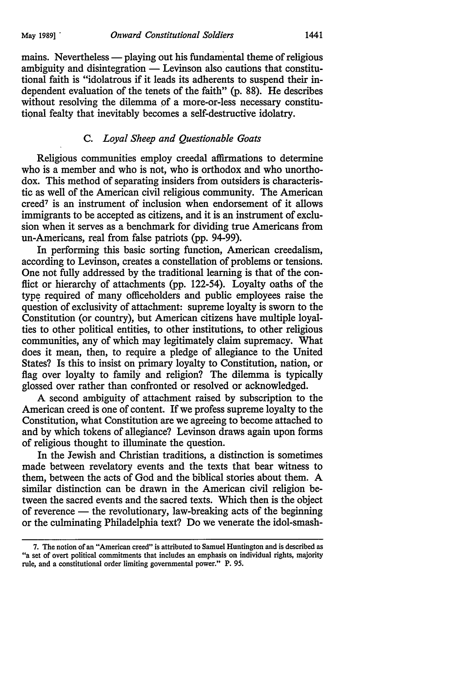mains. Nevertheless - playing out his fundamental theme of religious ambiguity and disintegration  $-$  Levinson also cautions that constitutional faith is "idolatrous if it leads its adherents to suspend their independent evaluation of the tenets of the faith" (p. 88). He describes without resolving the dilemma of a more-or-less necessary constitutional fealty that inevitably becomes a self-destructive idolatry.

#### C. *Loyal Sheep and Questionable Goats*

Religious communities employ creedal affirmations to determine who is a member and who is not, who is orthodox and who unorthodox. This method of separating insiders from outsiders is characteristic as well of the American civil religious community. The American creed7 is an instrument of inclusion when endorsement of it allows immigrants to be accepted as citizens, and it is an instrument of exclusion when it serves as a benchmark for dividing true Americans from un-Americans, real from false patriots (pp. 94-99).

In performing this basic sorting function, American creedalism, according to Levinson, creates a constellation of problems or tensions. One not fully addressed by the traditional learning is that of the conflict or hierarchy of attachments (pp. 122-54). Loyalty oaths of the type required of many officeholders and public employees raise the question of exclusivity of attachment: supreme loyalty is sworn to the Constitution (or country), but American citizens have multiple loyalties to other political entities, to other institutions, to other religious communities, any of which may legitimately claim supremacy. What does it mean, then, to require a pledge of allegiance to the United States? Is this to insist on primary loyalty to Constitution, nation, or flag over loyalty to family and religion? The dilemma is typically glossed over rather than confronted or resolved or acknowledged.

A second ambiguity of attachment raised by subscription to the American creed is one of content. If we profess supreme loyalty to the Constitution, what Constitution are we agreeing to become attached to and by which tokens of allegiance? Levinson draws again upon forms of religious thought to illuminate the question.

In the Jewish and Christian traditions, a distinction is sometimes made between revelatory events and the texts that bear witness to them, between the acts of God and the biblical stories about them. A similar distinction can be drawn in the American civil religion between the sacred events and the sacred texts. Which then is the object of reverence — the revolutionary, law-breaking acts of the beginning or the culminating Philadelphia text? Do we venerate the idol-smash-

<sup>7.</sup> The notion of an "American creed" is attributed to Samuel Huntington and is described as "a set of overt political commitments that includes an emphasis on individual rights, majority rule, and a constitutional order limiting governmental power." P. 95.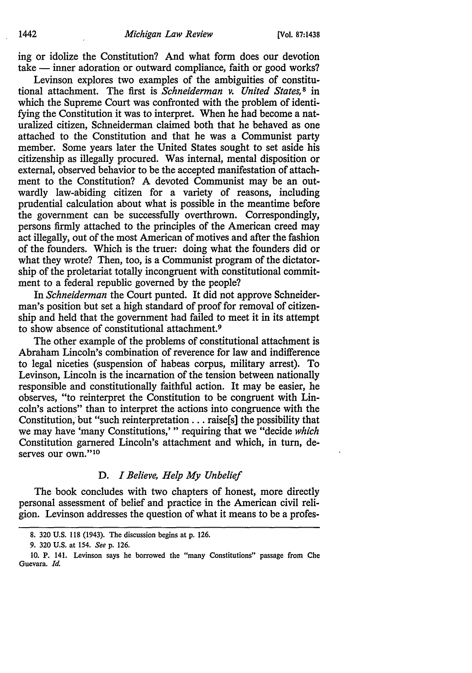ing or idolize the Constitution? And what form does our devotion take - inner adoration or outward compliance, faith or good works?

Levinson explores two examples of the ambiguities of constitutional attachment. The first is *Schneiderman v. United States,* 8 in which the Supreme Court was confronted with the problem of identifying the Constitution it was to interpret. When he had become a naturalized citizen, Schneiderman claimed both that he behaved as one attached to the Constitution and that he was a Communist party member. Some years later the United States sought to set aside his citizenship as illegally procured. Was internal, mental disposition or external, observed behavior to be the accepted manifestation of attachment to the Constitution? A devoted Communist may be an outwardly law-abiding citizen for a variety of reasons, including prudential calculation about what is possible in the meantime before the government can be successfully overthrown. Correspondingly, persons firmly attached to the principles of the American creed may act illegally, out of the most American of motives and after the fashion of the founders. Which is the truer: doing what the founders did or what they wrote? Then, too, is a Communist program of the dictatorship of the proletariat totally incongruent with constitutional commitment to a federal republic governed by the people?

In *Schneiderman* the Court punted. It did not approve Schneiderman's position but set a high standard of proof for removal of citizenship and held that the government had failed to meet it in its attempt to show absence of constitutional attachment.9

The other example of the problems of constitutional attachment is Abraham Lincoln's combination of reverence for law and indifference to legal niceties (suspension of habeas corpus, military arrest). To Levinson, Lincoln is the incarnation of the tension between nationally responsible and constitutionally faithful action. It may be easier, he observes, "to reinterpret the Constitution to be congruent with Lincoln's actions" than to interpret the actions into congruence with the Constitution, but "such reinterpretation . . . raise[s] the possibility that we may have 'many Constitutions,' " requiring that we "decide *which*  Constitution garnered Lincoln's attachment and which, in turn, deserves our own."<sup>10</sup>

### D. *I Believe, Help My Unbelief*

The book concludes with two chapters of honest, more directly personal assessment of belief and practice in the American civil religion. Levinson addresses the question of what it means to be a profes-

<sup>8. 320</sup> U.S. 118 (1943). The discussion begins at p. 126.

<sup>9. 320</sup> U.S. at 154. *See* p. 126.

<sup>10.</sup> P. 141. Levinson says he borrowed the "many Constitutions" passage from Che Guevara. *Id.*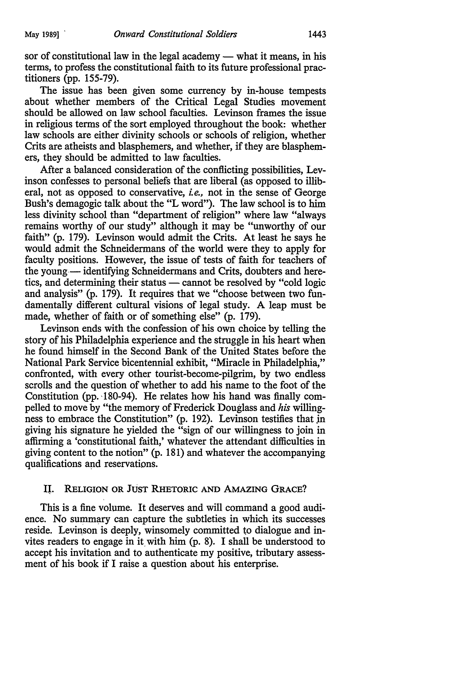sor of constitutional law in the legal academy  $-$  what it means, in his terms, to profess the constitutional faith to its future professional practitioners (pp. 155-79).

The issue has been given some currency by in-house tempests about whether members of the Critical Legal Studies movement should be allowed on law school faculties. Levinson frames the issue in religious terms of the sort employed throughout the book: whether law schools are either divinity schools or schools of religion, whether Crits are atheists and blasphemers, and whether, if they are blasphemers, they should be admitted to law faculties.

After a balanced consideration of the conflicting possibilities, Levinson confesses to personal beliefs that are liberal (as opposed to illiberal, not as opposed to conservative, *i.e.,* not in the sense of George Bush's demagogic talk about the "L word"). The law school is to him less divinity school than "department of religion" where law "always remains worthy of our study" although it may be "unworthy of our faith" (p. 179). Levinson would admit the Crits. At least he says he would admit the Schneidermans of the world were they to apply for faculty positions. However, the issue of tests of faith for teachers of the young — identifying Schneidermans and Crits, doubters and heretics, and determining their status — cannot be resolved by "cold logic and analysis" (p. 179). It requires that we "choose between two fundamentally different cultural visions of legal study. A leap must be made, whether of faith or of something else" (p. 179).

Levinson ends with the confession of his own choice by telling the story of his Philadelphia experience and the struggle in his heart when he found himself in the Second Bank of the United States before the National Park Service bicentennial exhibit, "Miracle in Philadelphia," confronted, with every other tourist-become-pilgrim, by two endless scrolls and the question of whether to add his name to the foot of the Constitution (pp.· 180-94). He relates how his hand was finally compelled to move by "the memory of Frederick Douglass and *his* willingness to embrace the Constitution" (p. 192). Levinson testifies that jn giving his signature he yielded the "sign of our willingness to join in affirming a 'constitutional faith,' whatever the attendant difficulties in giving content to the notion" (p. 181) and whatever the accompanying qualifications and reservations.

## IJ. RELIGION OR JUST RHETORIC AND AMAZING GRACE?

This is a fine volume. It deserves and will command a good audience. No summary can capture the subtleties in which its successes reside. Levinson is deeply, winsomely committed to dialogue and invites readers to engage in it, with him (p. 8). I shall be understood to accept his invitation and to authenticate my positive, tributary assessment of his book if I raise a question about his enterprise.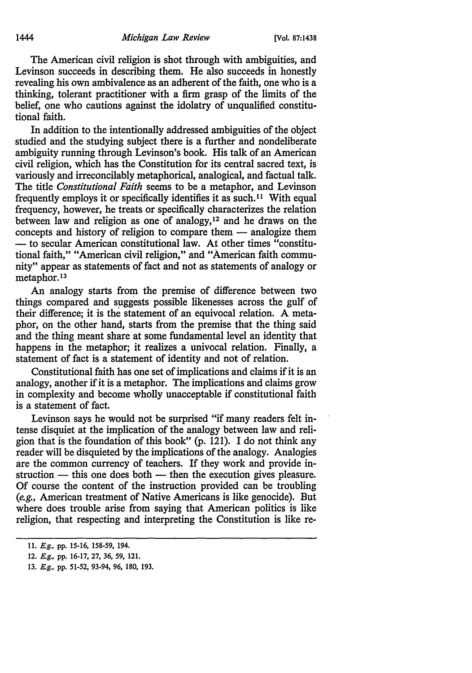The American civil religion is shot through with ambiguities, and Levinson succeeds in describing them. He also succeeds in honestly revealing his own ambivalence as an adherent of the faith, one who is a thinking, tolerant practitioner with a firm grasp of the limits of the belief, one who cautions against the idolatry of unqualified constitutional faith.

In addition to the intentionally addressed ambiguities of the object studied and the studying subject there is a further and nondeliberate ambiguity running through Levinson's book. His talk of an American civil religion, which has the Constitution for its central sacred text, is variously and irreconcilably metaphorical, analogical, and factual talk. The title *Constitutional Faith* seems to be a metaphor, and Levinson frequently employs it or specifically identifies it as such. 11 With equal frequency, however, he treats or specifically characterizes the relation between law and religion as one of analogy, 12 and he draws on the concepts and history of religion to compare them — analogize them - to secular American constitutional law. At other times "constitutional faith," "American civil religion," and "American faith community" appear as statements of fact and not as statements of analogy or metaphor.<sup>13</sup>

An analogy starts from the premise of difference between two things compared and suggests possible likenesses across the gulf of their difference; it is the statement of an equivocal relation. A metaphor, on the other hand, starts from the premise that the thing said and the thing meant share at some fundamental level an identity that happens in the metaphor; it realizes a univocal relation. Finally, a statement of fact is a statement of identity and not of relation.

Constitutional faith has one set of implications and claims if it is an analogy, another if it is a metaphor. The implications and claims grow in complexity and become wholly unacceptable if constitutional faith is a statement of fact.

Levinson says he would not be surprised "if many readers felt intense disquiet at the implication of the analogy between law and religion that is the foundation of this book" (p. 121). I do not think any reader will be disquieted by the implications of the analogy. Analogies are the common currency of teachers. If they work and provide instruction  $-$  this one does both  $-$  then the execution gives pleasure. Of course the content of the instruction provided can be troubling (e.g., American treatment of Native Americans is like genocide). But where does trouble arise from saying that American politics is like religion, that respecting and interpreting the Constitution is like re-

<sup>11.</sup> E.g., pp. 15-16, 158-59, 194.

<sup>12.</sup> E.g., pp. 16-17, 27, 36, 59, 121.

<sup>13.</sup> E.g., pp. 51-52, 93-94, 96, 180, 193.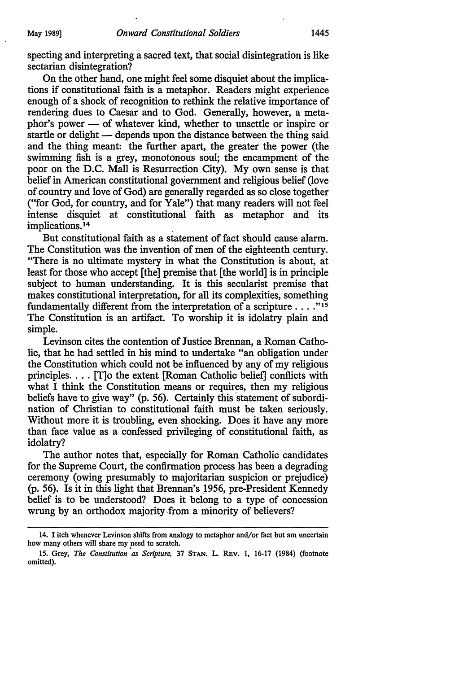specting and interpreting a sacred text, that social disintegration is like sectarian disintegration?

On the other hand, one might feel some disquiet about the implications if constitutional faith is a metaphor. Readers might experience enough of a shock of recognition to rethink the relative importance of rendering dues to Caesar and to God. Generally, however, a metaphor's power — of whatever kind, whether to unsettle or inspire or startle or delight — depends upon the distance between the thing said and the thing meant: the further apart, the greater the power (the swimming fish is a grey, monotonous soul; the encampment of the poor on the D.C. Mall is Resurrection City). My own sense is that belief in American constitutional government and religious belief (love of country and love of God) are generally regarded as so close together ("for God, for country, and for Yale") that many readers will not feel intense disquiet at constitutional faith as metaphor and its implications.<sup>14</sup>

But constitutional faith as a statement of fact should cause alarm. The Constitution was the invention of men of the eighteenth century. "There is no ultimate mystery in what the Constitution is about, at least for those who accept [the] premise that [the world] is in principle subject to human understanding. It is this secularist premise that makes constitutional interpretation, for all its complexities, something fundamentally different from the interpretation of a scripture  $\dots$ ."<sup>15</sup> The Constitution is an artifact. To worship it is idolatry plain and simple.

Levinson cites the contention of Justice Brennan, a Roman Catholic, that he had settled in his mind to undertake "an obligation under the Constitution which could not be influenced by any of my religious principles. . . . [T]o the extent [Roman Catholic belief] conflicts with what I think the Constitution means or requires, then my religious beliefs have to give way" (p. 56). Certainly this statement of subordination of Christian to constitutional faith must be taken seriously. Without more it is troubling, even shocking. Does it have any more than face value as a confessed privileging of constitutional faith, as idolatry?

The author notes that, especially for Roman Catholic candidates for the Supreme Court, the confirmation process has been a degrading ceremony (owing presumably to majoritarian suspicion or prejudice)  $(p. 56)$ . Is it in this light that Brennan's 1956, pre-President Kennedy belief is to be understood? Does it belong to a type of concession wrung by an orthodox majority from a minority of believers?

<sup>14.</sup> I itch whenever Levinson shifts from analogy to metaphor and/or fact but am uncertain how many others will share my need to scratch.

<sup>15.</sup> Grey, *The Constitution as Scripture,* 37 STAN. L. REV. 1, 16-17 (1984) (footnote omitted).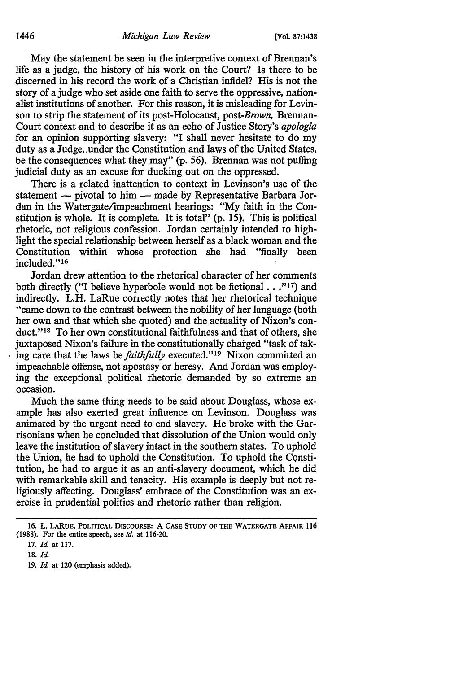May the statement be seen in the interpretive context of Brennan's life as a judge, the history of his work on the Court? Is there to be discerned in his record the work of a Christian infidel? His is not the story of a judge who set aside one faith to serve the oppressive, nationalist institutions of another. For this reason, it is misleading for Levinson to strip the statement of its post-Holocaust, *post-Brown,* Brennan-Court context and to describe it as an echo of Justice Story's *apologia*  for an opinion supporting slavery: "I shall never hesitate to do my duty as a Judge,.under the Constitution and laws of the United States, be the consequences what they may" (p. 56). Brennan was not puffing judicial duty as an excuse for ducking out on the oppressed.

There is a related inattention to context in Levinson's use of the statement - pivotal to him - made by Representative Barbara Jordan in the Watergate/impeachment hearings: "My faith in the Constitution is whole. It is complete. It is total" (p. 15). This is political rhetoric, not religious confession. Jordan certainly intended to highlight the special relationship between herself as a black woman and the Constitution within whose protection she had "finally been included."16

Jordan drew attention to the rhetorical character of her comments both directly ("I believe hyperbole would not be fictional  $\ldots$ ."<sup>17</sup>) and indirectly. L.H. LaRue correctly notes that her rhetorical technique "came down to the contrast between the nobility of her language (both her own and that which she quoted) and the actuality of Nixon's conduct."18 To her own constitutional faithfulness and that of others, she juxtaposed Nixon's failure in the constitutionally charged "task of tak- $\cdot$  ing care that the laws be *faithfully* executed."<sup>19</sup> Nixon committed an impeachable offense, not apostasy or heresy. And Jordan was employing the exceptional political rhetoric demanded by so extreme an occasion.

Much the same thing needs to be said about Douglass, whose example has also exerted great influence on Levinson. Douglass was animated by the urgent need to end slavery. He broke with the Garrisonians when he concluded that dissolution of the Union would only leave the institution of slavery intact in the southern states. To uphold the Union, he had to uphold the Constitution. To uphold the Constitution, he had to argue it as an anti-slavery document, which he did with remarkable skill and tenacity. His example is deeply but not religiously affecting. Douglass' embrace of the Constitution was an exercise in prudential politics and rhetoric rather than religion.

<sup>16.</sup> L. LARUE, POLITICAL DISCOURSE: A CASE STUDY OF THE WATERGATE AFFAIR 116 (1988). For the entire speech, see *id.* at 116-20.

<sup>17.</sup> *Id.* at 117.

<sup>18.</sup> *Id.* 

<sup>19.</sup> *Id.* at 120 (emphasis added).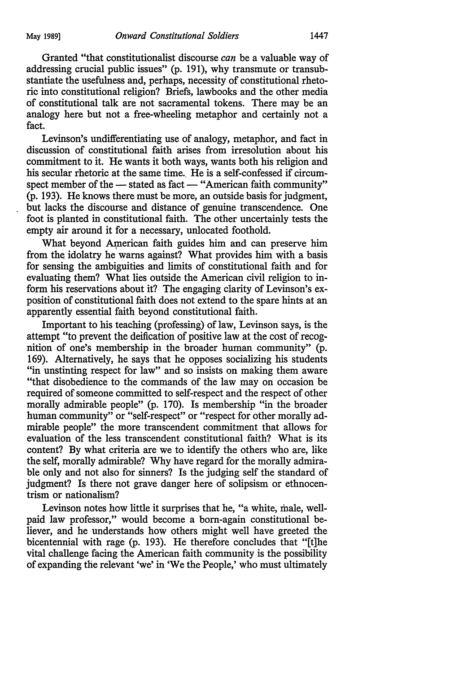Granted "that constitutionalist discourse *can* be a valuable way of addressing crucial public issues" (p. 191), why transmute or transubstantiate the usefulness and, perhaps, necessity of constitutional rhetoric into constitutional religion? Briefs, lawbooks and the other media of constitutional talk are not sacramental tokens. There may be an analogy here but not a free-wheeling metaphor and certainly not a fact.

Levinson's undifferentiating use of analogy, metaphor, and fact in discussion of constitutional faith arises from irresolution about his commitment to it. He wants it both ways, wants both his religion and his secular rhetoric at the same time. He is a self-confessed if circumspect member of the  $-$  stated as fact  $-$  "American faith community" (p. 193). He knows there must be more, an outside basis for judgment, but lacks the discourse and distance of genuine transcendence. One foot is planted in constitutional faith. The other uncertainly tests the empty air around it for a necessary, unlocated foothold.

What beyond American faith guides him and can preserve him from the idolatry he warns against? What provides him with a basis for sensing the ambiguities and limits of constitutional faith and for evaluating them? What lies outside the American civil religion to inform his reservations about it? The engaging clarity of Levinson's exposition of constitutional faith does not extend to the spare hints at an apparently essential faith beyond constitutional faith.

Important to his teaching (professing) of law, Levinson says, is the attempt "to prevent the deification of positive law at the cost of recognition of one's membership in the broader human community" (p. 169). Alternatively, he says that he opposes socializing his students "in unstinting respect for law" and so insists on making them aware "that disobedience to the commands of the law may on occasion be required of someone committed to self-respect and the respect of other morally admirable people" (p. 170). Is membership "in the broader human community" or "self-respect" or "respect for other morally admirable people" the more transcendent commitment that allows for evaluation of the less transcendent constitutional faith? What is its content? By what criteria are we to identify the others who are, like the self, morally admirable? Why have regard for the morally admirable only and not also for. sinners? Is the judging self the standard of judgment? Is there not grave danger here of solipsism or ethnocentrism or nationalism?

Levinson notes how little it surprises that he, "a white, male, wellpaid law professor," would become a born-again constitutional believer, and he understands how others might well have greeted the bicentennial with rage (p. 193). He therefore concludes that "[t]he vital challenge facing the American faith community is the possibility of expanding the relevant 'we' in 'We the People,' who must ultimately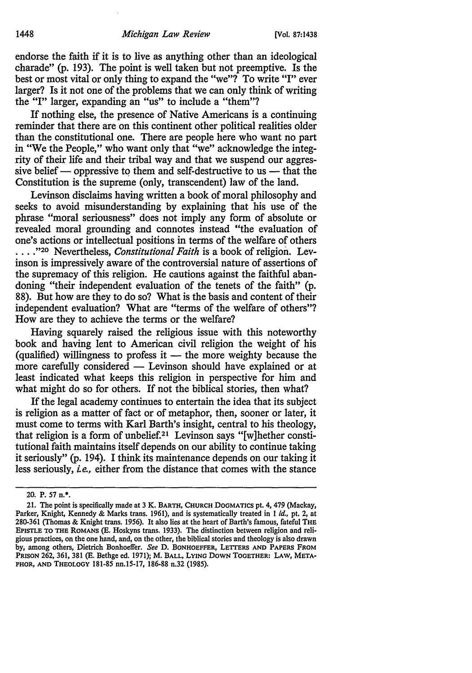endorse the faith if it is to live as anything other than an ideological charade" (p. 193). The point is well taken but not preemptive. Is the best or most vital or only thing to expand the "we"? To write "I" ever larger? Is it not one of the problems that we can only think of writing the "I" larger, expanding an "us" to include a "them"?

If nothing else, the presence of Native Americans is a continuing reminder that there are on this continent other political realities older than the constitutional one. There are people here who want no part in "We the People," who want only that "we" acknowledge the integrity of their life and their tribal way and that we suspend our aggressive belief — oppressive to them and self-destructive to us — that the Constitution is the supreme (only, transcendent) law of the land.

Levinson disclaims having written a book of moral philosophy and seeks to avoid misunderstanding by explaining that his use of the phrase "moral seriousness" does not imply any form of absolute or revealed moral grounding and connotes instead "the evaluation of one's actions or intellectual positions in terms of the welfare of others •••• " 20 Nevertheless, *Constitutional Faith* is a book of religion. Levinson is impressively aware of the controversial nature of assertions of the supremacy of this religion. He cautions against the faithful abandoning "their independent evaluation of the tenets of the faith" (p. 88). But how are they to do so? What is the basis and content of their independent evaluation? What are "terms of the welfare of others"? How are they to achieve the terms or the welfare?

Having squarely raised the religious issue with this noteworthy book and having lent to American civil religion the weight of his (qualified) willingness to profess it  $-$  the more weighty because the more carefully considered — Levinson should have explained or at least indicated what keeps this religion in perspective for him and what might do so for others. If not the biblical stories, then what?

If the legal academy continues to entertain the idea that its subject is religion as a matter of fact or of metaphor, then, sooner or later, it must come to terms with Karl Barth's insight, central to his theology, that religion is a form of unbelief.21 Levinson says "[w]hether constitutional faith maintains itself depends on our ability to continue taking it seriously" (p. 194). I think its maintenance depends on our taking it less seriously, *i.e.,* either from the distance that comes with the stance

<sup>20.</sup> P. 57 n.•.

<sup>21.</sup> The point is specifically made at 3 K. BARTH, CHURCH DOGMATICS pt. 4, 479 (Mackay, Parker, Knight, Kennedy & Marks trans. 1961), and is systematically treated in 1 id., pt. 2, at 280-361 (Thomas & Knight trans. 1956). It also lies at the heart of Barth's famous, fateful THE EPISTLE TO THE ROMANS (E. Hoskyns trans. 1933). The distinction between religion and religious practices, on the one hand, and, on the other, the biblical stories and theology is also drawn by, among others, Dietrich Bonhoeffer. See D. BONHOEFFER, LETTERS AND PAPERS FROM PRISON 262, 361, 381 (E. Bethge ed. 1971); M. BALL, LYING DOWN TOGETHER: LAW, META-PHOR, AND THEOLOGY 181-85 nn.15-17, 186-88 n.32 (1985).